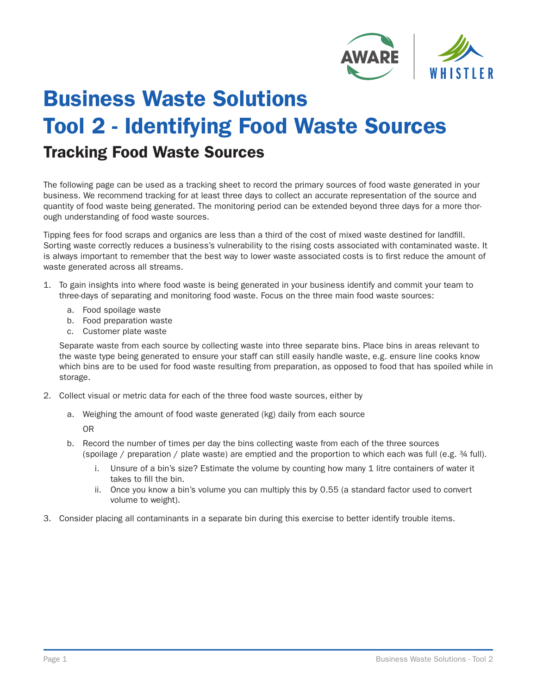

## Business Waste Solutions Tool 2 - Identifying Food Waste Sources Tracking Food Waste Sources

The following page can be used as a tracking sheet to record the primary sources of food waste generated in your business. We recommend tracking for at least three days to collect an accurate representation of the source and quantity of food waste being generated. The monitoring period can be extended beyond three days for a more thorough understanding of food waste sources.

Tipping fees for food scraps and organics are less than a third of the cost of mixed waste destined for landfill. Sorting waste correctly reduces a business's vulnerability to the rising costs associated with contaminated waste. It is always important to remember that the best way to lower waste associated costs is to first reduce the amount of waste generated across all streams.

- 1. To gain insights into where food waste is being generated in your business identify and commit your team to three-days of separating and monitoring food waste. Focus on the three main food waste sources:
	- a. Food spoilage waste
	- b. Food preparation waste
	- c. Customer plate waste

Separate waste from each source by collecting waste into three separate bins. Place bins in areas relevant to the waste type being generated to ensure your staff can still easily handle waste, e.g. ensure line cooks know which bins are to be used for food waste resulting from preparation, as opposed to food that has spoiled while in storage.

- 2. Collect visual or metric data for each of the three food waste sources, either by
	- a. Weighing the amount of food waste generated (kg) daily from each source OR
	- b. Record the number of times per day the bins collecting waste from each of the three sources (spoilage / preparation / plate waste) are emptied and the proportion to which each was full (e.g. ¾ full).
		- i. Unsure of a bin's size? Estimate the volume by counting how many 1 litre containers of water it takes to fill the bin.
		- ii. Once you know a bin's volume you can multiply this by 0.55 (a standard factor used to convert volume to weight).
- 3. Consider placing all contaminants in a separate bin during this exercise to better identify trouble items.